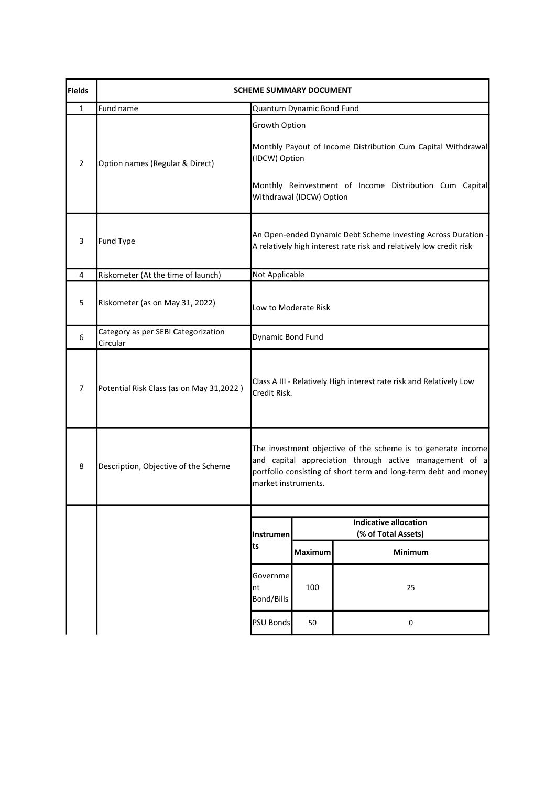| <b>Fields</b>  | <b>SCHEME SUMMARY DOCUMENT</b>                  |                                                                                                                                                                                                                   |                                                     |                                                         |
|----------------|-------------------------------------------------|-------------------------------------------------------------------------------------------------------------------------------------------------------------------------------------------------------------------|-----------------------------------------------------|---------------------------------------------------------|
| $\mathbf{1}$   | Fund name                                       | Quantum Dynamic Bond Fund                                                                                                                                                                                         |                                                     |                                                         |
| $\overline{2}$ | Option names (Regular & Direct)                 | Growth Option<br>Monthly Payout of Income Distribution Cum Capital Withdrawal<br>(IDCW) Option                                                                                                                    |                                                     |                                                         |
|                |                                                 |                                                                                                                                                                                                                   | Withdrawal (IDCW) Option                            | Monthly Reinvestment of Income Distribution Cum Capital |
| 3              | <b>Fund Type</b>                                | An Open-ended Dynamic Debt Scheme Investing Across Duration<br>A relatively high interest rate risk and relatively low credit risk                                                                                |                                                     |                                                         |
| 4              | Riskometer (At the time of launch)              |                                                                                                                                                                                                                   | Not Applicable                                      |                                                         |
| 5              | Riskometer (as on May 31, 2022)                 | Low to Moderate Risk                                                                                                                                                                                              |                                                     |                                                         |
| 6              | Category as per SEBI Categorization<br>Circular | Dynamic Bond Fund                                                                                                                                                                                                 |                                                     |                                                         |
| $\overline{7}$ | Potential Risk Class (as on May 31,2022)        | Class A III - Relatively High interest rate risk and Relatively Low<br>Credit Risk.                                                                                                                               |                                                     |                                                         |
| 8              | Description, Objective of the Scheme            | The investment objective of the scheme is to generate income<br>and capital appreciation through active management of a<br>portfolio consisting of short term and long-term debt and money<br>market instruments. |                                                     |                                                         |
|                |                                                 |                                                                                                                                                                                                                   |                                                     |                                                         |
|                |                                                 | Instrumen                                                                                                                                                                                                         | <b>Indicative allocation</b><br>(% of Total Assets) |                                                         |
|                |                                                 | ts                                                                                                                                                                                                                | <b>Maximum</b>                                      | Minimum                                                 |
|                |                                                 | Governme <br>nt<br>Bond/Bills                                                                                                                                                                                     | 100                                                 | 25                                                      |
|                |                                                 | <b>PSU Bonds</b>                                                                                                                                                                                                  | 50                                                  | 0                                                       |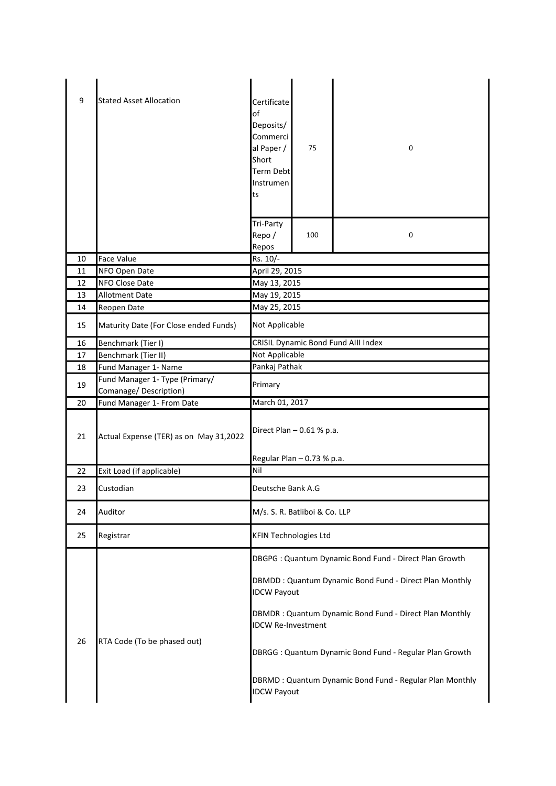| 9  | <b>Stated Asset Allocation</b>         | Certificate<br>of<br>Deposits/<br>Commerci<br>al Paper /<br>Short<br>Term Debt<br>Instrumen<br>ts               | 75                                  | 0                                                       |  |
|----|----------------------------------------|-----------------------------------------------------------------------------------------------------------------|-------------------------------------|---------------------------------------------------------|--|
|    |                                        | Tri-Party<br>Repo/<br>Repos                                                                                     | 100                                 | 0                                                       |  |
| 10 | <b>Face Value</b>                      | Rs. 10/-                                                                                                        |                                     |                                                         |  |
| 11 | NFO Open Date                          | April 29, 2015                                                                                                  |                                     |                                                         |  |
| 12 | NFO Close Date                         | May 13, 2015                                                                                                    |                                     |                                                         |  |
| 13 | Allotment Date                         | May 19, 2015                                                                                                    |                                     |                                                         |  |
| 14 | Reopen Date                            |                                                                                                                 | May 25, 2015                        |                                                         |  |
| 15 | Maturity Date (For Close ended Funds)  | Not Applicable                                                                                                  |                                     |                                                         |  |
| 16 | Benchmark (Tier I)                     |                                                                                                                 | CRISIL Dynamic Bond Fund AIII Index |                                                         |  |
| 17 | Benchmark (Tier II)                    |                                                                                                                 | Not Applicable                      |                                                         |  |
| 18 | Fund Manager 1- Name                   | Pankaj Pathak                                                                                                   |                                     |                                                         |  |
| 19 | Fund Manager 1- Type (Primary/         | Primary                                                                                                         |                                     |                                                         |  |
|    | Comanage/Description)                  |                                                                                                                 |                                     |                                                         |  |
| 20 | Fund Manager 1- From Date              | March 01, 2017                                                                                                  |                                     |                                                         |  |
| 21 | Actual Expense (TER) as on May 31,2022 | Direct Plan - 0.61 % p.a.                                                                                       |                                     |                                                         |  |
|    |                                        | Regular Plan - 0.73 % p.a.                                                                                      |                                     |                                                         |  |
| 22 | Exit Load (if applicable)              | Nil                                                                                                             |                                     |                                                         |  |
| 23 | Custodian                              | Deutsche Bank A.G                                                                                               |                                     |                                                         |  |
| 24 | Auditor                                | M/s. S. R. Batliboi & Co. LLP                                                                                   |                                     |                                                         |  |
| 25 | Registrar                              | <b>KFIN Technologies Ltd</b>                                                                                    |                                     |                                                         |  |
|    | RTA Code (To be phased out)            | DBGPG: Quantum Dynamic Bond Fund - Direct Plan Growth<br>DBMDD: Quantum Dynamic Bond Fund - Direct Plan Monthly |                                     |                                                         |  |
| 26 |                                        | <b>IDCW Payout</b>                                                                                              |                                     |                                                         |  |
|    |                                        | DBMDR: Quantum Dynamic Bond Fund - Direct Plan Monthly<br><b>IDCW Re-Investment</b>                             |                                     |                                                         |  |
|    |                                        | DBRGG: Quantum Dynamic Bond Fund - Regular Plan Growth                                                          |                                     |                                                         |  |
|    |                                        | <b>IDCW Payout</b>                                                                                              |                                     | DBRMD: Quantum Dynamic Bond Fund - Regular Plan Monthly |  |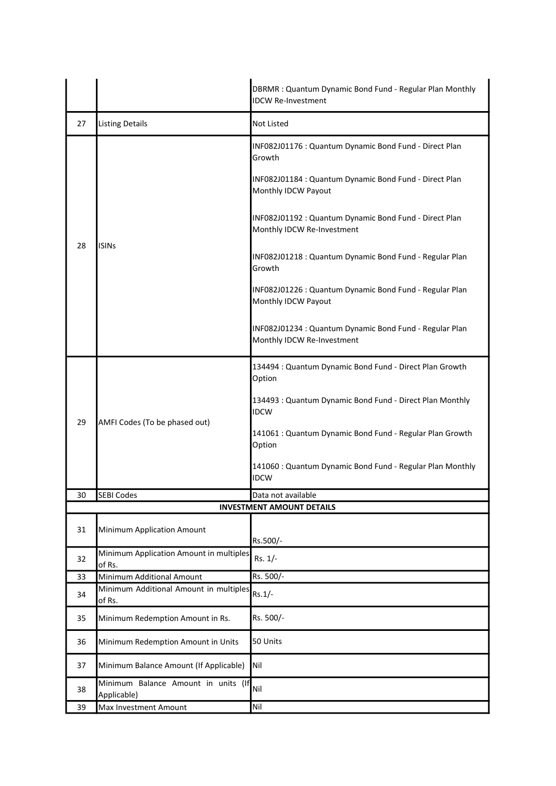|    |                                                    | DBRMR: Quantum Dynamic Bond Fund - Regular Plan Monthly<br><b>IDCW Re-Investment</b>  |  |
|----|----------------------------------------------------|---------------------------------------------------------------------------------------|--|
| 27 | <b>Listing Details</b>                             | Not Listed                                                                            |  |
| 28 | <b>ISINs</b>                                       | INF082J01176 : Quantum Dynamic Bond Fund - Direct Plan<br>Growth                      |  |
|    |                                                    | INF082J01184 : Quantum Dynamic Bond Fund - Direct Plan<br>Monthly IDCW Payout         |  |
|    |                                                    | INF082J01192 : Quantum Dynamic Bond Fund - Direct Plan<br>Monthly IDCW Re-Investment  |  |
|    |                                                    | INF082J01218: Quantum Dynamic Bond Fund - Regular Plan<br>Growth                      |  |
|    |                                                    | INF082J01226 : Quantum Dynamic Bond Fund - Regular Plan<br>Monthly IDCW Payout        |  |
|    |                                                    | INF082J01234 : Quantum Dynamic Bond Fund - Regular Plan<br>Monthly IDCW Re-Investment |  |
| 29 | AMFI Codes (To be phased out)                      | 134494 : Quantum Dynamic Bond Fund - Direct Plan Growth<br>Option                     |  |
|    |                                                    | 134493 : Quantum Dynamic Bond Fund - Direct Plan Monthly<br><b>IDCW</b>               |  |
|    |                                                    | 141061 : Quantum Dynamic Bond Fund - Regular Plan Growth<br>Option                    |  |
|    |                                                    | 141060 : Quantum Dynamic Bond Fund - Regular Plan Monthly<br><b>IDCW</b>              |  |
| 30 | <b>SEBI Codes</b><br>Data not available            |                                                                                       |  |
|    |                                                    | <b>INVESTMENT AMOUNT DETAILS</b>                                                      |  |
| 31 | Minimum Application Amount                         | Rs.500/-                                                                              |  |
| 32 | Minimum Application Amount in multiples<br>of Rs.  | Rs. 1/-                                                                               |  |
| 33 | Minimum Additional Amount                          | Rs. 500/-                                                                             |  |
| 34 | Minimum Additional Amount in multiples<br>of Rs.   | $Rs.1/-$                                                                              |  |
| 35 | Minimum Redemption Amount in Rs.                   | Rs. 500/-                                                                             |  |
| 36 | Minimum Redemption Amount in Units                 | 50 Units                                                                              |  |
| 37 | Minimum Balance Amount (If Applicable)             | Nil                                                                                   |  |
| 38 | Minimum Balance Amount in units (If<br>Applicable) | Nil                                                                                   |  |
| 39 | Max Investment Amount                              | Nil                                                                                   |  |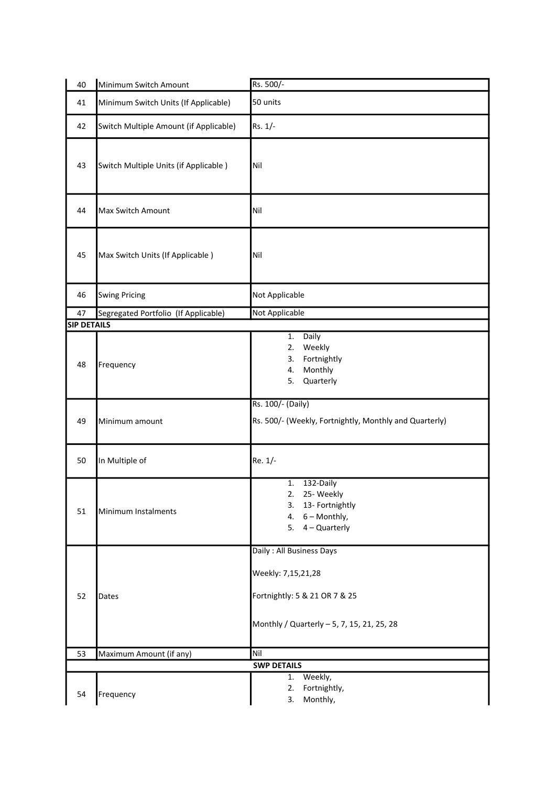| 40                 | Minimum Switch Amount                  | Rs. 500/-                                                                                                                     |  |
|--------------------|----------------------------------------|-------------------------------------------------------------------------------------------------------------------------------|--|
| 41                 | Minimum Switch Units (If Applicable)   | 50 units                                                                                                                      |  |
| 42                 | Switch Multiple Amount (if Applicable) | Rs. 1/-                                                                                                                       |  |
| 43                 | Switch Multiple Units (if Applicable)  | Nil                                                                                                                           |  |
| 44                 | Max Switch Amount                      | Nil                                                                                                                           |  |
| 45                 | Max Switch Units (If Applicable)       | Nil                                                                                                                           |  |
| 46                 | <b>Swing Pricing</b>                   | Not Applicable                                                                                                                |  |
| 47                 | Segregated Portfolio (If Applicable)   | Not Applicable                                                                                                                |  |
| <b>SIP DETAILS</b> |                                        |                                                                                                                               |  |
| 48                 | Frequency                              | Daily<br>1.<br>2.<br>Weekly<br>3.<br>Fortnightly<br>Monthly<br>4.<br>5.<br>Quarterly                                          |  |
| 49                 | Minimum amount                         | Rs. 100/- (Daily)<br>Rs. 500/- (Weekly, Fortnightly, Monthly and Quarterly)                                                   |  |
| 50                 | In Multiple of                         | Re. 1/-                                                                                                                       |  |
| 51                 | Minimum Instalments                    | 132-Daily<br>1.<br>2. 25- Weekly<br>3. 13- Fortnightly<br>4. $6 -$ Monthly,<br>5. $4 -$ Quarterly                             |  |
| 52                 | Dates                                  | Daily: All Business Days<br>Weekly: 7,15,21,28<br>Fortnightly: 5 & 21 OR 7 & 25<br>Monthly / Quarterly - 5, 7, 15, 21, 25, 28 |  |
| 53                 | Maximum Amount (if any)                | Nil                                                                                                                           |  |
|                    |                                        | <b>SWP DETAILS</b>                                                                                                            |  |
| 54                 | Frequency                              | Weekly,<br>1.<br>Fortnightly,<br>2.<br>Monthly,<br>3.                                                                         |  |